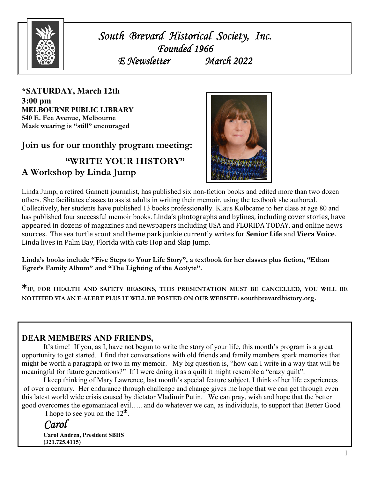

*South Brevard Historical Society, Inc. Brevard Historical Inc. Founded 1966 E Newsletter Newsletter March 2022* 

**\*SATURDAY, March 12th 3:00 pm MELBOURNE PUBLIC LIBRARY 540 E. Fee Avenue, Melbourne Mask wearing is "still" encouraged** 

**Join us for our monthly program meeting: "WRITE YOUR HISTORY" A Workshop by Linda Jump** 



Linda Jump, a retired Gannett journalist, has published six non-fiction books and edited more than two dozen others. She facilitates classes to assist adults in writing their memoir, using the textbook she authored. Collectively, her students have published 13 books professionally. Klaus Kolbcame to her class at age 80 and has published four successful memoir books. Linda's photographs and bylines, including cover stories, have appeared in dozens of magazines and newspapers including USA and FLORIDA TODAY, and online news sources. The sea turtle scout and theme park junkie currently writes for **Senior Life** and **Viera Voice**. Linda lives in Palm Bay, Florida with cats Hop and Skip Jump.

**Linda's books include "Five Steps to Your Life Story", a textbook for her classes plus fiction, "Ethan Egret's Family Album" and "The Lighting of the Acolyte".** 

**\*IF, FOR HEALTH AND SAFETY REASONS, THIS PRESENTATION MUST BE CANCELLED, YOU WILL BE NOTIFIED VIA AN E-ALERT PLUS IT WILL BE POSTED ON OUR WEBSITE: southbrevardhistory.org.** 

## **DEAR MEMBERS AND FRIENDS,**

 It's time! If you, as I, have not begun to write the story of your life, this month's program is a great opportunity to get started. I find that conversations with old friends and family members spark memories that might be worth a paragraph or two in my memoir. My big question is, "how can I write in a way that will be meaningful for future generations?" If I were doing it as a quilt it might resemble a "crazy quilt".

 I keep thinking of Mary Lawrence, last month's special feature subject. I think of her life experiences of over a century. Her endurance through challenge and change gives me hope that we can get through even this latest world wide crisis caused by dictator Vladimir Putin. We can pray, wish and hope that the better good overcomes the egomaniacal evil….. and do whatever we can, as individuals, to support that Better Good

I hope to see you on the  $12<sup>th</sup>$ .

 *Carol*  **Carol Andren, President SBHS (321.725.4115)**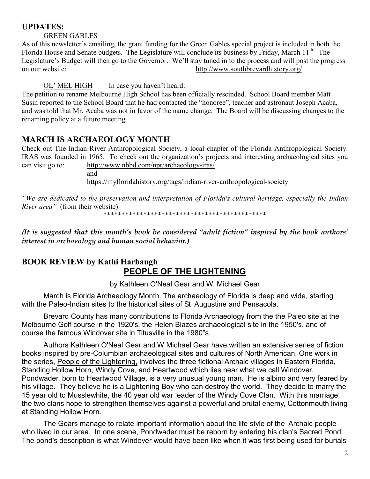## **UPDATES:**

#### GREEN GABLES

As of this newsletter's emailing, the grant funding for the Green Gables special project is included in both the Florida House and Senate budgets. The Legislature will conclude its business by Friday, March 11<sup>th.</sup> The Legislature's Budget will then go to the Governor. We'll stay tuned in to the process and will post the progress on our website: http://www.southbrevardhistory.org/

#### OL' MEL HIGH In case you haven't heard:

The petition to rename Melbourne High School has been officially rescinded. School Board member Matt Susin reported to the School Board that he had contacted the "honoree", teacher and astronaut Joseph Acaba, and was told that Mr. Acaba was not in favor of the name change. The Board will be discussing changes to the renaming policy at a future meeting.

### **MARCH IS ARCHAEOLOGY MONTH**

Check out The Indian River Anthropological Society, a local chapter of the Florida Anthropological Society. IRAS was founded in 1965. To check out the organization's projects and interesting archaeological sites you can visit go to: http://www.nbbd.com/npr/archaeology-iras/

and

https://myfloridahistory.org/tags/indian-river-anthropological-society

*"We are dedicated to the preservation and interpretation of Florida's cultural heritage, especially the Indian River area"* (from their website)

\*\*\*\*\*\*\*\*\*\*\*\*\*\*\*\*\*\*\*\*\*\*\*\*\*\*\*\*\*\*\*\*\*\*\*\*\*\*\*\*\*\*\*\*\*

**(***It is suggested that this month's book be considered "adult fiction" inspired by the book authors' interest in archaeology and human social behavior.)*

# **BOOK REVIEW by Kathi Harbaugh PEOPLE OF THE LIGHTENING**

by Kathleen O'Neal Gear and W. Michael Gear

 March is Florida Archaeology Month. The archaeology of Florida is deep and wide, starting with the Paleo-Indian sites to the historical sites of St Augustine and Pensacola.

 Brevard County has many contributions to Florida Archaeology from the the Paleo site at the Melbourne Golf course in the 1920's, the Helen Blazes archaeological site in the 1950's, and of course the famous Windover site in Titusville in the 1980"s.

 Authors Kathleen O'Neal Gear and W Michael Gear have written an extensive series of fiction books inspired by pre-Columbian archaeological sites and cultures of North American. One work in the series, People of the Lightening, involves the three fictional Archaic villages in Eastern Florida, Standing Hollow Horn, Windy Cove, and Heartwood which lies near what we call Windover. Pondwader, born to Heartwood Village, is a very unusual young man. He is albino and very feared by his village. They believe he is a Lightening Boy who can destroy the world. They decide to marry the 15 year old to Musslewhite, the 40 year old war leader of the Windy Cove Clan. With this marriage the two clans hope to strengthen themselves against a powerful and brutal enemy, Cottonmouth living at Standing Hollow Horn.

 The Gears manage to relate important information about the life style of the Archaic people who lived in our area. In one scene, Pondwader must be reborn by entering his clan's Sacred Pond. The pond's description is what Windover would have been like when it was first being used for burials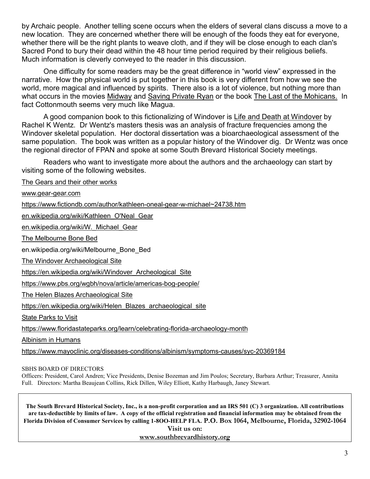by Archaic people. Another telling scene occurs when the elders of several clans discuss a move to a new location. They are concerned whether there will be enough of the foods they eat for everyone, whether there will be the right plants to weave cloth, and if they will be close enough to each clan's Sacred Pond to bury their dead within the 48 hour time period required by their religious beliefs. Much information is cleverly conveyed to the reader in this discussion.

 One difficulty for some readers may be the great difference in "world view" expressed in the narrative. How the physical world is put together in this book is very different from how we see the world, more magical and influenced by spirits. There also is a lot of violence, but nothing more than what occurs in the movies Midway and Saving Private Ryan or the book The Last of the Mohicans. In fact Cottonmouth seems very much like Magua.

A good companion book to this fictionalizing of Windover is Life and Death at Windover by Rachel K Wentz. Dr Wentz's masters thesis was an analysis of fracture frequencies among the Windover skeletal population. Her doctoral dissertation was a bioarchaeological assessment of the same population. The book was written as a popular history of the Windover dig. Dr Wentz was once the regional director of FPAN and spoke at some South Brevard Historical Society meetings.

 Readers who want to investigate more about the authors and the archaeology can start by visiting some of the following websites.

The Gears and their other works

www.gear-gear.com

https://www.fictiondb.com/author/kathleen-oneal-gear-w-michael~24738.htm

en.wikipedia.org/wiki/Kathleen\_O'Neal\_Gear

en.wikipedia.org/wiki/W.\_Michael\_Gear

The Melbourne Bone Bed

en.wikipedia.org/wiki/Melbourne\_Bone\_Bed

The Windover Archaeological Site

https://en.wikipedia.org/wiki/Windover\_Archeological\_Site

https://www.pbs.org/wgbh/nova/article/americas-bog-people/

The Helen Blazes Archaeological Site

https://en.wikipedia.org/wiki/Helen\_Blazes\_archaeological\_site

State Parks to Visit

https://www.floridastateparks.org/learn/celebrating-florida-archaeology-month

Albinism in Humans

https://www.mayoclinic.org/diseases-conditions/albinism/symptoms-causes/syc-20369184

#### SBHS BOARD OF DIRECTORS

Officers: President, Carol Andren; Vice Presidents, Denise Bozeman and Jim Poulos; Secretary, Barbara Arthur; Treasurer, Annita Full. Directors: Martha Beaujean Collins, Rick Dillen, Wiley Elliott, Kathy Harbaugh, Janey Stewart.

**The South Brevard Historical Society, Inc., is a non-profit corporation and an IRS 501 (C) 3 organization. All contributions are tax-deductible by limits of law. A copy of the official registration and financial information may be obtained from the Florida Division of Consumer Services by calling 1-8OO-HELP FLA. P.O. Box 1064, Melbourne, Florida, 32902-1064** 

**Visit us on: www.southbrevardhistory.org**